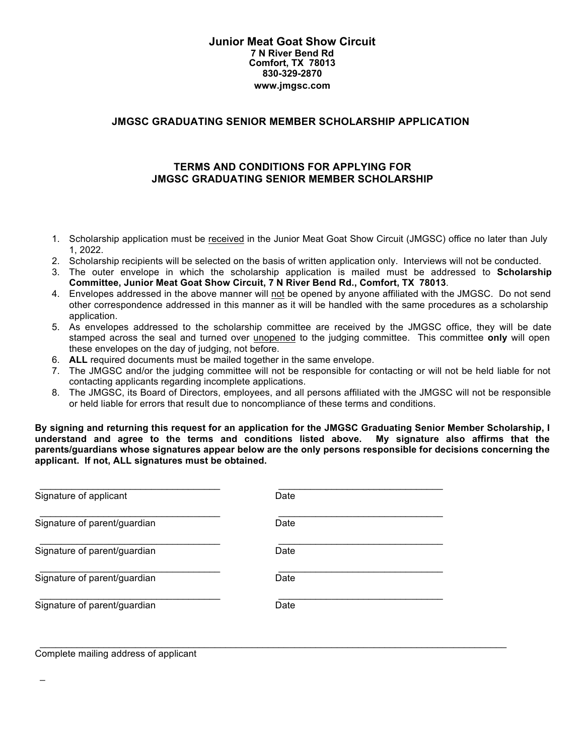#### **Junior Meat Goat Show Circuit 7 N River Bend Rd Comfort, TX 78013 830-329-2870 www.jmgsc.com**

## **JMGSC GRADUATING SENIOR MEMBER SCHOLARSHIP APPLICATION**

## **TERMS AND CONDITIONS FOR APPLYING FOR JMGSC GRADUATING SENIOR MEMBER SCHOLARSHIP**

- 1. Scholarship application must be received in the Junior Meat Goat Show Circuit (JMGSC) office no later than July 1, 2022.
- 2. Scholarship recipients will be selected on the basis of written application only. Interviews will not be conducted.
- 3. The outer envelope in which the scholarship application is mailed must be addressed to **Scholarship Committee, Junior Meat Goat Show Circuit, 7 N River Bend Rd., Comfort, TX 78013**.
- 4. Envelopes addressed in the above manner will not be opened by anyone affiliated with the JMGSC. Do not send other correspondence addressed in this manner as it will be handled with the same procedures as a scholarship application.
- 5. As envelopes addressed to the scholarship committee are received by the JMGSC office, they will be date stamped across the seal and turned over unopened to the judging committee. This committee **only** will open these envelopes on the day of judging, not before.
- 6. **ALL** required documents must be mailed together in the same envelope.
- 7. The JMGSC and/or the judging committee will not be responsible for contacting or will not be held liable for not contacting applicants regarding incomplete applications.
- 8. The JMGSC, its Board of Directors, employees, and all persons affiliated with the JMGSC will not be responsible or held liable for errors that result due to noncompliance of these terms and conditions.

**By signing and returning this request for an application for the JMGSC Graduating Senior Member Scholarship, I understand and agree to the terms and conditions listed above. My signature also affirms that the parents/guardians whose signatures appear below are the only persons responsible for decisions concerning the applicant. If not, ALL signatures must be obtained.**

| Signature of applicant       | Date |
|------------------------------|------|
| Signature of parent/guardian | Date |
| Signature of parent/guardian | Date |
| Signature of parent/guardian | Date |
| Signature of parent/guardian | Date |

 $\_$  , and the state of the state of the state of the state of the state of the state of the state of the state of the state of the state of the state of the state of the state of the state of the state of the state of the

Complete mailing address of applicant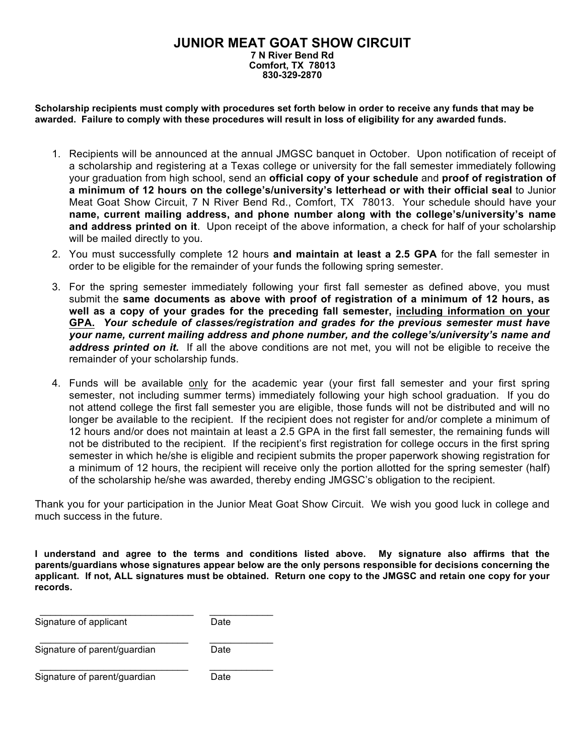### **JUNIOR MEAT GOAT SHOW CIRCUIT 7 N River Bend Rd Comfort, TX 78013 830-329-2870**

**Scholarship recipients must comply with procedures set forth below in order to receive any funds that may be awarded. Failure to comply with these procedures will result in loss of eligibility for any awarded funds.**

- 1. Recipients will be announced at the annual JMGSC banquet in October. Upon notification of receipt of a scholarship and registering at a Texas college or university for the fall semester immediately following your graduation from high school, send an **official copy of your schedule** and **proof of registration of a minimum of 12 hours on the college's/university's letterhead or with their official seal** to Junior Meat Goat Show Circuit, 7 N River Bend Rd., Comfort, TX 78013. Your schedule should have your **name, current mailing address, and phone number along with the college's/university's name and address printed on it**. Upon receipt of the above information, a check for half of your scholarship will be mailed directly to you.
- 2. You must successfully complete 12 hours **and maintain at least a 2.5 GPA** for the fall semester in order to be eligible for the remainder of your funds the following spring semester.
- 3. For the spring semester immediately following your first fall semester as defined above, you must submit the **same documents as above with proof of registration of a minimum of 12 hours, as well as a copy of your grades for the preceding fall semester, including information on your GPA.** *Your schedule of classes/registration and grades for the previous semester must have your name, current mailing address and phone number, and the college's/university's name and address printed on it.* If all the above conditions are not met, you will not be eligible to receive the remainder of your scholarship funds.
- 4. Funds will be available only for the academic year (your first fall semester and your first spring semester, not including summer terms) immediately following your high school graduation. If you do not attend college the first fall semester you are eligible, those funds will not be distributed and will no longer be available to the recipient. If the recipient does not register for and/or complete a minimum of 12 hours and/or does not maintain at least a 2.5 GPA in the first fall semester, the remaining funds will not be distributed to the recipient. If the recipient's first registration for college occurs in the first spring semester in which he/she is eligible and recipient submits the proper paperwork showing registration for a minimum of 12 hours, the recipient will receive only the portion allotted for the spring semester (half) of the scholarship he/she was awarded, thereby ending JMGSC's obligation to the recipient.

Thank you for your participation in the Junior Meat Goat Show Circuit. We wish you good luck in college and much success in the future.

**I understand and agree to the terms and conditions listed above. My signature also affirms that the parents/guardians whose signatures appear below are the only persons responsible for decisions concerning the applicant. If not, ALL signatures must be obtained. Return one copy to the JMGSC and retain one copy for your records.**

\_\_\_\_\_\_\_\_\_\_\_\_\_\_\_\_\_\_\_\_\_\_\_\_\_\_\_\_\_ \_\_\_\_\_\_\_\_\_\_\_\_ Signature of applicant Date \_\_\_\_\_\_\_\_\_\_\_\_\_\_\_\_\_\_\_\_\_\_\_\_\_\_\_\_ \_\_\_\_\_\_\_\_\_\_\_\_ Signature of parent/guardian Date \_\_\_\_\_\_\_\_\_\_\_\_\_\_\_\_\_\_\_\_\_\_\_\_\_\_\_\_ \_\_\_\_\_\_\_\_\_\_\_\_ Signature of parent/guardian Date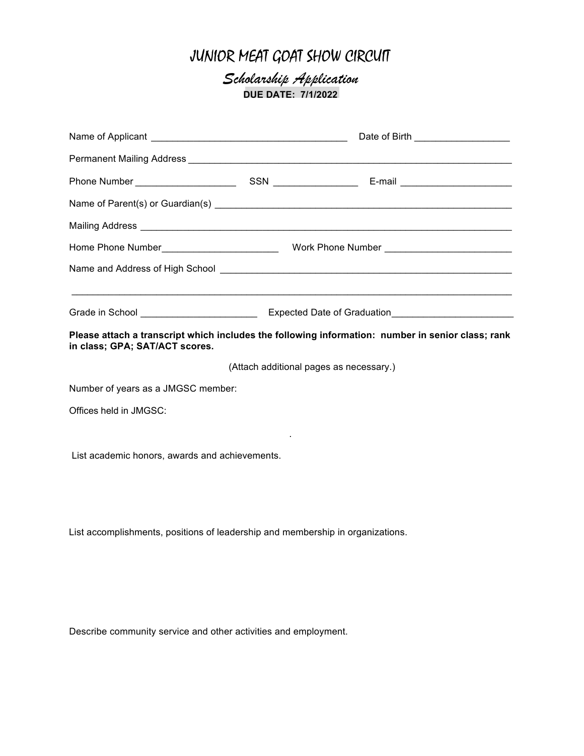# JUNIOR MEAT GOAT SHOW CIRCUIT

*Scholarship Application*  **DUE DATE: 7/1/2022**

| Permanent Mailing Address <b>Committee Committee Committee Committee Committee Committee Committee Committee Committee Committee Committee Committee Committee Committee Committee Committee Committee Committee Committee Commi</b> |  |                                                                                                   |  |
|--------------------------------------------------------------------------------------------------------------------------------------------------------------------------------------------------------------------------------------|--|---------------------------------------------------------------------------------------------------|--|
|                                                                                                                                                                                                                                      |  |                                                                                                   |  |
|                                                                                                                                                                                                                                      |  |                                                                                                   |  |
|                                                                                                                                                                                                                                      |  |                                                                                                   |  |
|                                                                                                                                                                                                                                      |  |                                                                                                   |  |
|                                                                                                                                                                                                                                      |  |                                                                                                   |  |
|                                                                                                                                                                                                                                      |  |                                                                                                   |  |
|                                                                                                                                                                                                                                      |  |                                                                                                   |  |
| in class; GPA; SAT/ACT scores.                                                                                                                                                                                                       |  | Please attach a transcript which includes the following information: number in senior class; rank |  |
|                                                                                                                                                                                                                                      |  | (Attach additional pages as necessary.)                                                           |  |
| Number of years as a JMGSC member:                                                                                                                                                                                                   |  |                                                                                                   |  |
| Offices held in JMGSC:                                                                                                                                                                                                               |  |                                                                                                   |  |
|                                                                                                                                                                                                                                      |  |                                                                                                   |  |
| List academic honors, awards and achievements.                                                                                                                                                                                       |  |                                                                                                   |  |
|                                                                                                                                                                                                                                      |  |                                                                                                   |  |
|                                                                                                                                                                                                                                      |  |                                                                                                   |  |
| List accomplishments, positions of leadership and membership in organizations.                                                                                                                                                       |  |                                                                                                   |  |
|                                                                                                                                                                                                                                      |  |                                                                                                   |  |

Describe community service and other activities and employment.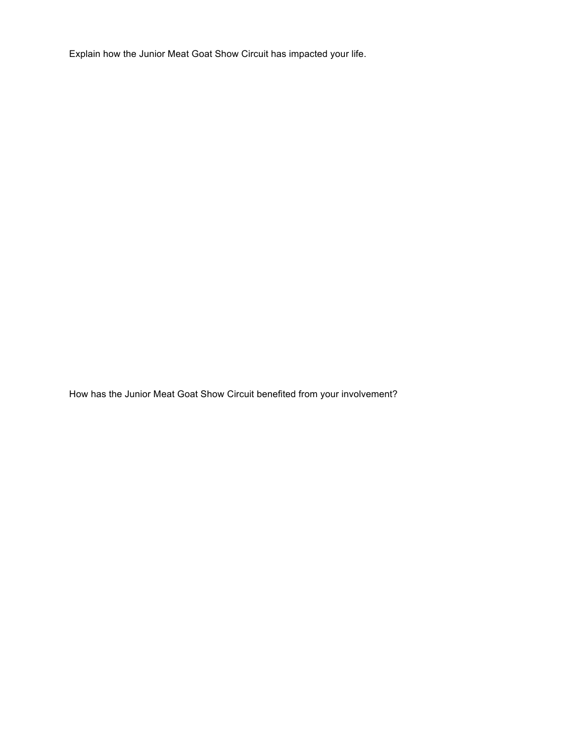Explain how the Junior Meat Goat Show Circuit has impacted your life.

How has the Junior Meat Goat Show Circuit benefited from your involvement?